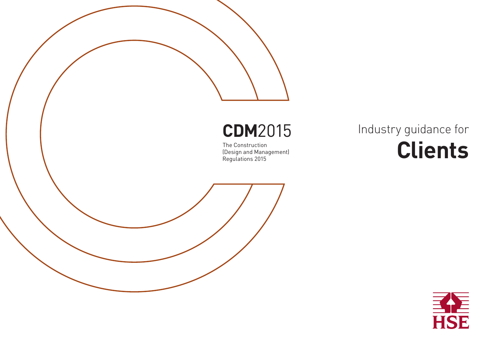# **CDM**2015

The Construction (Design and Management) Regulations 2015

# Industry guidance for **Clients**

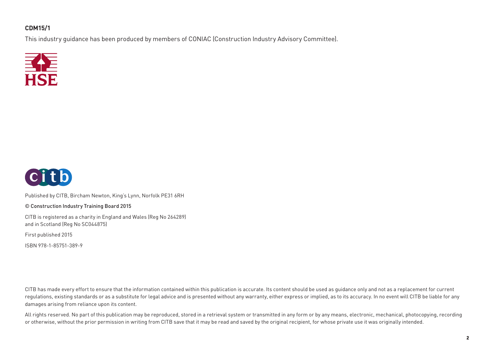#### **CDM15/1**

This industry guidance has been produced by members of CONIAC (Construction Industry Advisory Committee).





Published by CITB, Bircham Newton, King's Lynn, Norfolk PE31 6RH

© Construction Industry Training Board 2015

CITB is registered as a charity in England and Wales (Reg No 264289) and in Scotland (Reg No SC044875)

First published 2015

ISBN 978-1-85751-389-9

CITB has made every effort to ensure that the information contained within this publication is accurate. Its content should be used as quidance only and not as a replacement for current regulations, existing standards or as a substitute for legal advice and is presented without any warranty, either express or implied, as to its accuracy. In no event will CITB be liable for any damages arising from reliance upon its content.

All rights reserved. No part of this publication may be reproduced, stored in a retrieval system or transmitted in any form or by any means, electronic, mechanical, photocopying, recording or otherwise, without the prior permission in writing from CITB save that it may be read and saved by the original recipient, for whose private use it was originally intended.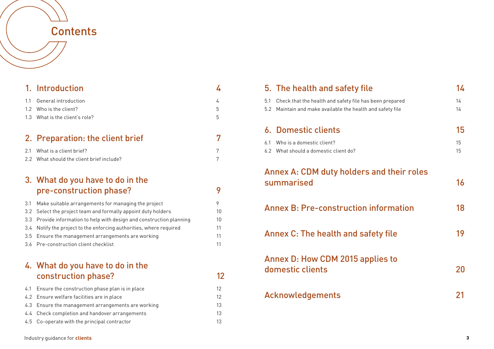## **Contents**

|     | 1. Introduction                                                   | 4  |
|-----|-------------------------------------------------------------------|----|
| 1.1 | General introduction                                              | 4  |
| 1.2 | Who is the client?                                                | 5  |
| 1.3 | What is the client's role?                                        | 5  |
|     |                                                                   |    |
|     | 2. Preparation: the client brief                                  | 7  |
| 2.1 | What is a client brief?                                           | 7  |
| 2.2 | What should the client brief include?                             | 7  |
|     |                                                                   |    |
|     | 3. What do you have to do in the                                  |    |
|     | pre-construction phase?                                           | 9  |
| 3.1 | Make suitable arrangements for managing the project               | 9  |
| 3.2 | Select the project team and formally appoint duty holders         | 10 |
| 3.3 | Provide information to help with design and construction planning | 10 |
| 3.4 | Notify the project to the enforcing authorities, where required   | 11 |
| 3.5 | Ensure the management arrangements are working                    | 11 |
| 3.6 | Pre-construction client checklist                                 | 11 |
|     |                                                                   |    |
|     | 4. What do you have to do in the                                  |    |
|     | construction phase?                                               | 12 |
| 4.1 | Ensure the construction phase plan is in place                    | 12 |
| 4.2 | Ensure welfare facilities are in place                            | 12 |
| 4.3 | Ensure the management arrangements are working                    | 13 |
| 4.4 | Check completion and handover arrangements                        | 13 |

4.5 Co-operate with the principal contractor 13

|            | 5. The health and safety file                                                                                     | 14       |
|------------|-------------------------------------------------------------------------------------------------------------------|----------|
| 5.1<br>5.2 | Check that the health and safety file has been prepared<br>Maintain and make available the health and safety file | 14<br>14 |
|            | <b>6. Domestic clients</b>                                                                                        | 15       |
| 6.1        | Who is a domestic client?<br>6.2 What should a domestic client do?                                                | 15<br>15 |
|            | Annex A: CDM duty holders and their roles<br>summarised                                                           | 16       |
|            | <b>Annex B: Pre-construction information</b>                                                                      | 18       |
|            | Annex C: The health and safety file                                                                               | 19       |
|            | <b>Annex D: How CDM 2015 applies to</b><br>domestic clients                                                       | 20       |
|            | Acknowledgements                                                                                                  | 21       |
|            |                                                                                                                   |          |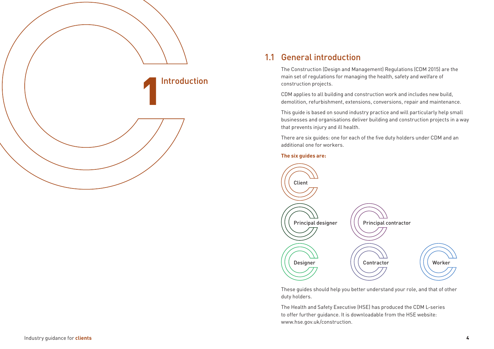

#### 1.1 General introduction

The Construction (Design and Management) Regulations (CDM 2015) are the main set of regulations for managing the health, safety and welfare of construction projects.

CDM applies to all building and construction work and includes new build, demolition, refurbishment, extensions, conversions, repair and maintenance.

This guide is based on sound industry practice and will particularly help small businesses and organisations deliver building and construction projects in a way that prevents injury and ill health.

There are six guides: one for each of the five duty holders under CDM and an additional one for workers.

#### **The six guides are:**



These guides should help you better understand your role, and that of other duty holders.

The Health and Safety Executive (HSE) has produced the CDM L-series to offer further guidance. It is downloadable from the HSE website: www.hse.gov.uk/construction.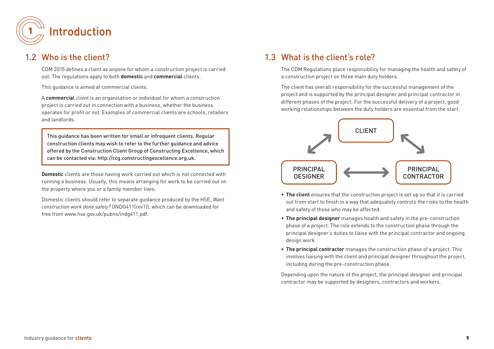

#### 1.2 Who is the client?

CDM 2015 defines a client as anyone for whom a construction project is carried out. The regulations apply to both **domestic** and **commercial** clients.

This guidance is aimed at commercial clients.

A **commercial** client is an organisation or individual for whom a construction project is carried out in connection with a business, whether the business operates for profit or not. Examples of commercial clients are schools, retailers and landlords.

This guidance has been written for small or infrequent clients. Regular construction clients may wish to refer to the further guidance and advice offered by the Construction Client Group of Constructing Excellence, which can be contacted via: http://ccg.constructingexcellence.org.uk.

**Domestic** clients are those having work carried out which is not connected with running a business. Usually, this means arranging for work to be carried out on the property where you or a family member lives.

Domestic clients should refer to separate guidance produced by the HSE, *Want construction work done safely?* (INDG411(rev1)), which can be downloaded for free from www.hse.gov.uk/pubns/indg411.pdf.

#### 1.3 What is the client's role?

The CDM Regulations place responsibility for managing the health and safety of a construction project on three main duty holders.

The client has overall responsibility for the successful management of the project and is supported by the principal designer and principal contractor in different phases of the project. For the successful delivery of a project, good working relationships between the duty holders are essential from the start.



- **The client** ensures that the construction project is set up so that it is carried out from start to finish in a way that adequately controls the risks to the health and safety of those who may be affected.
- **The principal designer** manages health and safety in the pre-construction phase of a project. The role extends to the construction phase through the principal designer's duties to liaise with the principal contractor and ongoing design work.
- **The principal contractor** manages the construction phase of a project. This involves liaising with the client and principal designer throughout the project, including during the pre-construction phase.

Depending upon the nature of the project, the principal designer and principal contractor may be supported by designers, contractors and workers.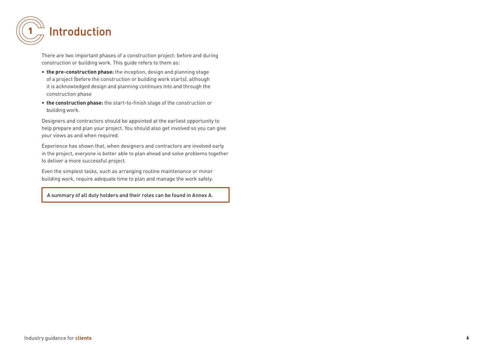

There are two important phases of a construction project: before and during construction or building work. This guide refers to them as:

- **the pre-construction phase:** the inception, design and planning stage of a project (before the construction or building work starts), although it is acknowledged design and planning continues into and through the construction phase
- **the construction phase:** the start-to-finish stage of the construction or building work.

Designers and contractors should be appointed at the earliest opportunity to help prepare and plan your project. You should also get involved so you can give your views as and when required.

Experience has shown that, when designers and contractors are involved early in the project, everyone is better able to plan ahead and solve problems together to deliver a more successful project.

Even the simplest tasks, such as arranging routine maintenance or minor building work, require adequate time to plan and manage the work safely.

A summary of all duty holders and their roles can be found in Annex A.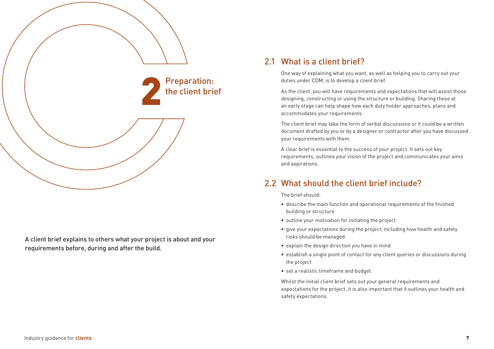

A client brief explains to others what your project is about and your requirements before, during and after the build.

#### 2.1 What is a client brief?

One way of explaining what you want, as well as helping you to carry out your duties under CDM, is to develop a client brief.

As the client, you will have requirements and expectations that will assist those designing, constructing or using the structure or building. Sharing these at an early stage can help shape how each duty holder approaches, plans and accommodates your requirements.

The client brief may take the form of verbal discussions or it could be a written document drafted by you or by a designer or contractor after you have discussed your requirements with them.

A clear brief is essential to the success of your project. It sets out key requirements, outlines your vision of the project and communicates your aims and aspirations.

### 2.2 What should the client brief include?

The brief should:

- describe the main function and operational requirements of the finished building or structure
- outline your motivation for initiating the project
- give your expectations during the project, including how health and safety risks should be managed
- explain the design direction you have in mind
- establish a single point of contact for any client queries or discussions during the project
- set a realistic timeframe and budget.

Whilst the initial client brief sets out your general requirements and expectations for the project, it is also important that it outlines your health and safety expectations.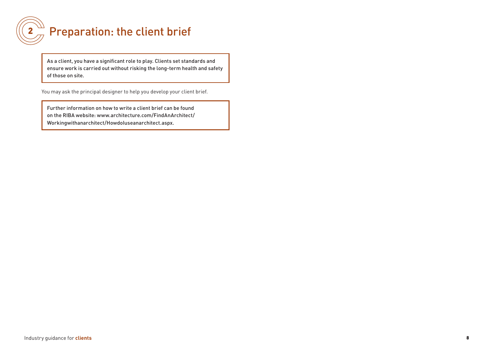

## $\mathbf{2}_{\mathcal{A}}^{\mathcal{A}}$  Preparation: the client brief

As a client, you have a significant role to play. Clients set standards and ensure work is carried out without risking the long-term health and safety of those on site.

You may ask the principal designer to help you develop your client brief.

Further information on how to write a client brief can be found on the RIBA website: www.architecture.com/FindAnArchitect/ Workingwithanarchitect/HowdoIuseanarchitect.aspx.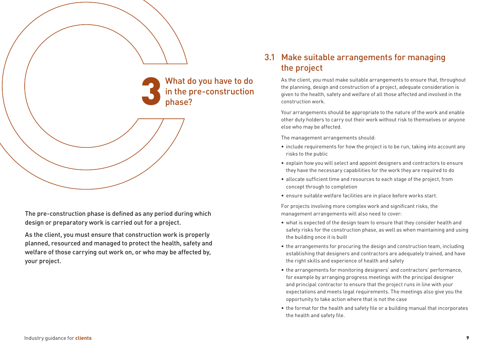

The pre-construction phase is defined as any period during which design or preparatory work is carried out for a project.

As the client, you must ensure that construction work is properly planned, resourced and managed to protect the health, safety and welfare of those carrying out work on, or who may be affected by, your project.

### 3.1 Make suitable arrangements for managing the project

As the client, you must make suitable arrangements to ensure that, throughout the planning, design and construction of a project, adequate consideration is given to the health, safety and welfare of all those affected and involved in the construction work.

Your arrangements should be appropriate to the nature of the work and enable other duty holders to carry out their work without risk to themselves or anyone else who may be affected.

The management arrangements should:

- include requirements for how the project is to be run, taking into account any risks to the public
- explain how you will select and appoint designers and contractors to ensure they have the necessary capabilities for the work they are required to do
- allocate sufficient time and resources to each stage of the project, from concept through to completion
- ensure suitable welfare facilities are in place before works start.

For projects involving more complex work and significant risks, the management arrangements will also need to cover:

- what is expected of the design team to ensure that they consider health and safety risks for the construction phase, as well as when maintaining and using the building once it is built
- the arrangements for procuring the design and construction team, including establishing that designers and contractors are adequately trained, and have the right skills and experience of health and safety
- the arrangements for monitoring designers' and contractors' performance, for example by arranging progress meetings with the principal designer and principal contractor to ensure that the project runs in line with your expectations and meets legal requirements. The meetings also give you the opportunity to take action where that is not the case
- the format for the health and safety file or a building manual that incorporates the health and safety file.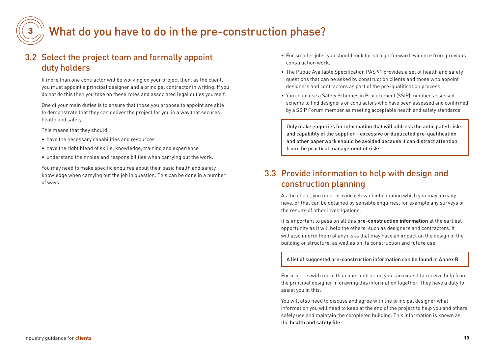

## What do you have to do in the pre-construction phase?

### 3.2 Select the project team and formally appoint duty holders

If more than one contractor will be working on your project then, as the client, you must appoint a principal designer and a principal contractor in writing. If you do not do this then you take on these roles and associated legal duties yourself.

One of your main duties is to ensure that those you propose to appoint are able to demonstrate that they can deliver the project for you in a way that secures health and safety.

This means that they should:

- have the necessary capabilities and resources
- have the right blend of skills, knowledge, training and experience
- understand their roles and responsibilities when carrying out the work.

You may need to make specific enquires about their basic health and safety knowledge when carrying out the job in question. This can be done in a number of ways.

- For smaller jobs, you should look for straightforward evidence from previous construction work.
- The Public Available Specification PAS 91 provides a set of health and safety questions that can be asked by construction clients and those who appoint designers and contractors as part of the pre-qualification process.
- You could use a Safety Schemes in Procurement (SSIP) member-assessed scheme to find designers or contractors who have been assessed and confirmed by a SSIP Forum member as meeting acceptable health and safety standards.

Only make enquiries for information that will address the anticipated risks and capability of the supplier – excessive or duplicated pre-qualification and other paperwork should be avoided because it can distract attention from the practical management of risks.

#### 3.3 Provide information to help with design and construction planning

As the client, you must provide relevant information which you may already have, or that can be obtained by sensible enquiries, for example any surveys or the results of other investigations.

It is important to pass on all this **pre-construction information** at the earliest opportunity as it will help the others, such as designers and contractors. It will also inform them of any risks that may have an impact on the design of the building or structure, as well as on its construction and future use.

A list of suggested pre-construction information can be found in Annex B.

For projects with more than one contractor, you can expect to receive help from the principal designer in drawing this information together. They have a duty to assist you in this.

You will also need to discuss and agree with the principal designer what information you will need to keep at the end of the project to help you and others safely use and maintain the completed building. This information is known as the **health and safety file**.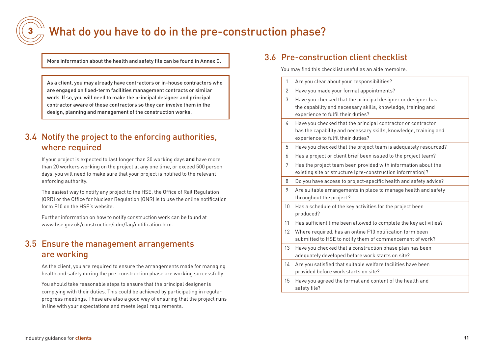

## What do you have to do in the pre-construction phase?

More information about the health and safety file can be found in Annex C.

As a client, you may already have contractors or in-house contractors who are engaged on fixed-term facilities management contracts or similar work. If so, you will need to make the principal designer and principal contractor aware of these contractors so they can involve them in the design, planning and management of the construction works.

## 3.4 Notify the project to the enforcing authorities, where required

If your project is expected to last longer than 30 working days **and** have more than 20 workers working on the project at any one time, or exceed 500 person days, you will need to make sure that your project is notified to the relevant enforcing authority.

The easiest way to notify any project to the HSE, the Office of Rail Regulation (ORR) or the Office for Nuclear Regulation (ONR) is to use the online notification form F10 on the HSE's website.

Further information on how to notify construction work can be found at www.hse.gov.uk/construction/cdm/faq/notification.htm.

### 3.5 Ensure the management arrangements are working

As the client, you are required to ensure the arrangements made for managing health and safety during the pre-construction phase are working successfully.

You should take reasonable steps to ensure that the principal designer is complying with their duties. This could be achieved by participating in regular progress meetings. These are also a good way of ensuring that the project runs in line with your expectations and meets legal requirements.

#### 3.6 Pre-construction client checklist

You may find this checklist useful as an aide memoire.

| $\mathbf{1}$  | Are you clear about your responsibilities?                                                                                                                             |  |
|---------------|------------------------------------------------------------------------------------------------------------------------------------------------------------------------|--|
| $\mathcal{P}$ | Have you made your formal appointments?                                                                                                                                |  |
| 3             | Have you checked that the principal designer or designer has<br>the capability and necessary skills, knowledge, training and<br>experience to fulfil their duties?     |  |
| 4             | Have you checked that the principal contractor or contractor<br>has the capability and necessary skills, knowledge, training and<br>experience to fulfil their duties? |  |
| 5             | Have you checked that the project team is adequately resourced?                                                                                                        |  |
| 6             | Has a project or client brief been issued to the project team?                                                                                                         |  |
| 7             | Has the project team been provided with information about the<br>existing site or structure (pre-construction information)?                                            |  |
| 8             | Do you have access to project-specific health and safety advice?                                                                                                       |  |
| 9             | Are suitable arrangements in place to manage health and safety<br>throughout the project?                                                                              |  |
| 10            | Has a schedule of the key activities for the project been<br>produced?                                                                                                 |  |
| 11            | Has sufficient time been allowed to complete the key activities?                                                                                                       |  |
| 12            | Where required, has an online F10 notification form been<br>submitted to HSE to notify them of commencement of work?                                                   |  |
| 13            | Have you checked that a construction phase plan has been<br>adequately developed before work starts on site?                                                           |  |
| 14            | Are you satisfied that suitable welfare facilities have been<br>provided before work starts on site?                                                                   |  |
| 15            | Have you agreed the format and content of the health and<br>safety file?                                                                                               |  |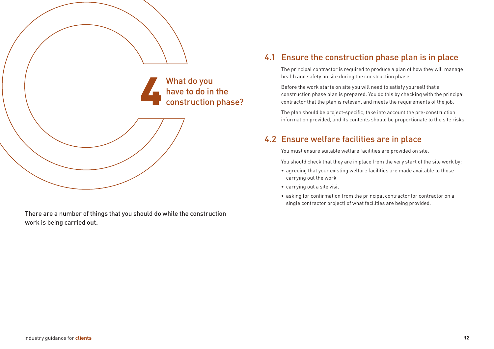

There are a number of things that you should do while the construction work is being carried out.

### 4.1 Ensure the construction phase plan is in place

The principal contractor is required to produce a plan of how they will manage health and safety on site during the construction phase.

Before the work starts on site you will need to satisfy yourself that a construction phase plan is prepared. You do this by checking with the principal contractor that the plan is relevant and meets the requirements of the job.

The plan should be project-specific, take into account the pre-construction information provided, and its contents should be proportionate to the site risks.

### 4.2 Ensure welfare facilities are in place

You must ensure suitable welfare facilities are provided on site.

You should check that they are in place from the very start of the site work by:

- agreeing that your existing welfare facilities are made available to those carrying out the work
- carrying out a site visit
- asking for confirmation from the principal contractor (or contractor on a single contractor project) of what facilities are being provided.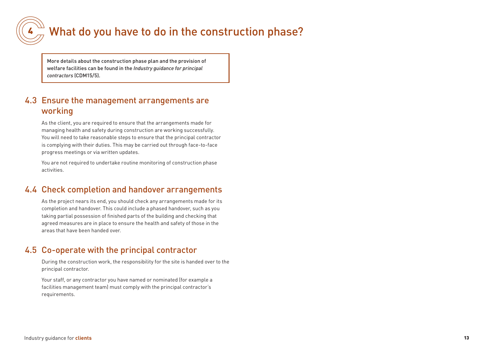

## What do you have to do in the construction phase?

More details about the construction phase plan and the provision of welfare facilities can be found in the *Industry guidance for principal contractors* (CDM15/5).

#### 4.3 Ensure the management arrangements are working

As the client, you are required to ensure that the arrangements made for managing health and safety during construction are working successfully. You will need to take reasonable steps to ensure that the principal contractor is complying with their duties. This may be carried out through face-to-face progress meetings or via written updates.

You are not required to undertake routine monitoring of construction phase activities.

#### 4.4 Check completion and handover arrangements

As the project nears its end, you should check any arrangements made for its completion and handover. This could include a phased handover, such as you taking partial possession of finished parts of the building and checking that agreed measures are in place to ensure the health and safety of those in the areas that have been handed over.

#### 4.5 Co-operate with the principal contractor

During the construction work, the responsibility for the site is handed over to the principal contractor.

Your staff, or any contractor you have named or nominated (for example a facilities management team) must comply with the principal contractor's requirements.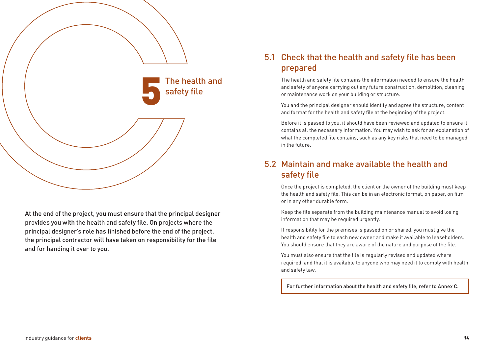

At the end of the project, you must ensure that the principal designer provides you with the health and safety file. On projects where the principal designer's role has finished before the end of the project, the principal contractor will have taken on responsibility for the file and for handing it over to you.

#### 5.1 Check that the health and safety file has been prepared

The health and safety file contains the information needed to ensure the health and safety of anyone carrying out any future construction, demolition, cleaning or maintenance work on your building or structure.

You and the principal designer should identify and agree the structure, content and format for the health and safety file at the beginning of the project.

Before it is passed to you, it should have been reviewed and updated to ensure it contains all the necessary information. You may wish to ask for an explanation of what the completed file contains, such as any key risks that need to be managed in the future.

### 5.2 Maintain and make available the health and safety file

Once the project is completed, the client or the owner of the building must keep the health and safety file. This can be in an electronic format, on paper, on film or in any other durable form.

Keep the file separate from the building maintenance manual to avoid losing information that may be required urgently.

If responsibility for the premises is passed on or shared, you must give the health and safety file to each new owner and make it available to leaseholders. You should ensure that they are aware of the nature and purpose of the file.

You must also ensure that the file is regularly revised and updated where required, and that it is available to anyone who may need it to comply with health and safety law.

For further information about the health and safety file, refer to Annex C.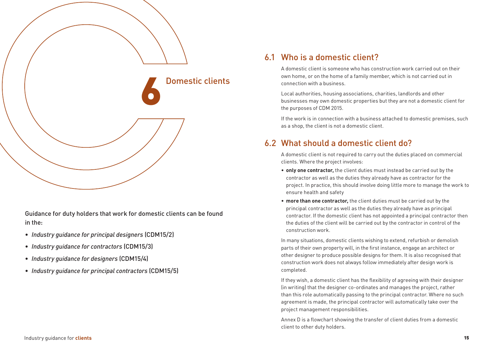

Guidance for duty holders that work for domestic clients can be found in the:

- *Industry guidance for principal designers* (CDM15/2)
- *Industry guidance for contractors* (CDM15/3)
- *Industry guidance for designers* (CDM15/4)
- *Industry guidance for principal contractors* (CDM15/5)

#### 6.1 Who is a domestic client?

A domestic client is someone who has construction work carried out on their own home, or on the home of a family member, which is not carried out in connection with a business.

Local authorities, housing associations, charities, landlords and other businesses may own domestic properties but they are not a domestic client for the purposes of CDM 2015.

If the work is in connection with a business attached to domestic premises, such as a shop, the client is not a domestic client.

#### 6.2 What should a domestic client do?

A domestic client is not required to carry out the duties placed on commercial clients. Where the project involves:

- **only one contractor,** the client duties must instead be carried out by the contractor as well as the duties they already have as contractor for the project. In practice, this should involve doing little more to manage the work to ensure health and safety
- **more than one contractor,** the client duties must be carried out by the principal contractor as well as the duties they already have as principal contractor. If the domestic client has not appointed a principal contractor then the duties of the client will be carried out by the contractor in control of the construction work.

In many situations, domestic clients wishing to extend, refurbish or demolish parts of their own property will, in the first instance, engage an architect or other designer to produce possible designs for them. It is also recognised that construction work does not always follow immediately after design work is completed.

If they wish, a domestic client has the flexibility of agreeing with their designer (in writing) that the designer co-ordinates and manages the project, rather than this role automatically passing to the principal contractor. Where no such agreement is made, the principal contractor will automatically take over the project management responsibilities.

Annex D is a flowchart showing the transfer of client duties from a domestic client to other duty holders.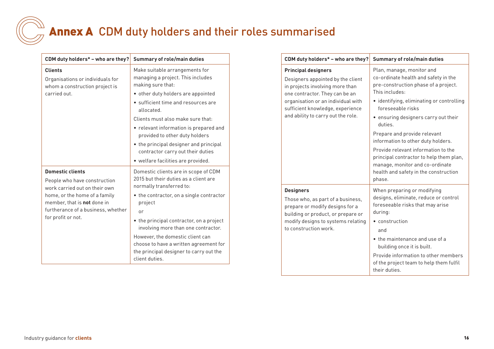# Annex A CDM duty holders and their roles summarised

| CDM duty holders* - who are they?                                                                                               | <b>Summary of role/main duties</b>                                                                                                      |  |
|---------------------------------------------------------------------------------------------------------------------------------|-----------------------------------------------------------------------------------------------------------------------------------------|--|
| <b>Clients</b><br>Organisations or individuals for<br>whom a construction project is                                            | Make suitable arrangements for<br>managing a project. This includes<br>making sure that:                                                |  |
| carried out.                                                                                                                    | • other duty holders are appointed                                                                                                      |  |
|                                                                                                                                 | • sufficient time and resources are<br>allocated.                                                                                       |  |
|                                                                                                                                 | Clients must also make sure that:                                                                                                       |  |
|                                                                                                                                 | • relevant information is prepared and<br>provided to other duty holders                                                                |  |
|                                                                                                                                 | • the principal designer and principal<br>contractor carry out their duties                                                             |  |
|                                                                                                                                 | • welfare facilities are provided.                                                                                                      |  |
| <b>Domestic clients</b><br>People who have construction<br>work carried out on their own                                        | Domestic clients are in scope of CDM<br>2015 but their duties as a client are<br>normally transferred to:                               |  |
| home, or the home of a family<br>member, that is <b>not</b> done in<br>furtherance of a business, whether<br>for profit or not. | • the contractor, on a single contractor<br>project                                                                                     |  |
|                                                                                                                                 | or                                                                                                                                      |  |
|                                                                                                                                 | • the principal contractor, on a project<br>involving more than one contractor.                                                         |  |
|                                                                                                                                 | However, the domestic client can<br>choose to have a written agreement for<br>the principal designer to carry out the<br>client duties. |  |

| CDM duty holders* - who are they?                                                                                                                                                                                                                    | <b>Summary of role/main duties</b>                                                                                                                                                                                                                                                                                                                                                                                                                                                             |  |
|------------------------------------------------------------------------------------------------------------------------------------------------------------------------------------------------------------------------------------------------------|------------------------------------------------------------------------------------------------------------------------------------------------------------------------------------------------------------------------------------------------------------------------------------------------------------------------------------------------------------------------------------------------------------------------------------------------------------------------------------------------|--|
| <b>Principal designers</b><br>Designers appointed by the client<br>in projects involving more than<br>one contractor. They can be an<br>organisation or an individual with<br>sufficient knowledge, experience<br>and ability to carry out the role. | Plan, manage, monitor and<br>co-ordinate health and safety in the<br>pre-construction phase of a project.<br>This includes:<br>• identifying, eliminating or controlling<br>foreseeable risks<br>· ensuring designers carry out their<br>duties.<br>Prepare and provide relevant<br>information to other duty holders.<br>Provide relevant information to the<br>principal contractor to help them plan,<br>manage, monitor and co-ordinate<br>health and safety in the construction<br>phase. |  |
| <b>Designers</b><br>Those who, as part of a business,<br>prepare or modify designs for a<br>building or product, or prepare or<br>modify designs to systems relating<br>to construction work.                                                        | When preparing or modifying<br>designs, eliminate, reduce or control<br>foreseeable risks that may arise<br>during:<br>• construction<br>and<br>• the maintenance and use of a<br>building once it is built.<br>Provide information to other members<br>of the project team to help them fulfil<br>their duties.                                                                                                                                                                               |  |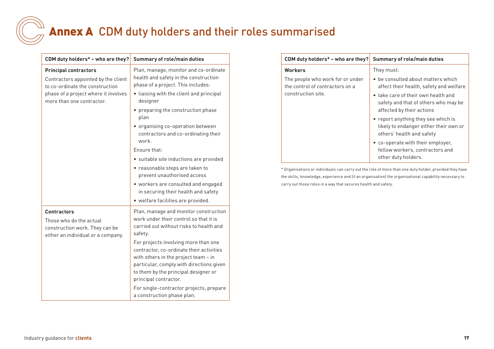## Annex A CDM duty holders and their roles summarised

| CDM duty holders* - who are they?                                                                                     | <b>Summary of role/main duties</b>                                                                                                                                                                                                    |  |
|-----------------------------------------------------------------------------------------------------------------------|---------------------------------------------------------------------------------------------------------------------------------------------------------------------------------------------------------------------------------------|--|
| <b>Principal contractors</b><br>Contractors appointed by the client<br>to co-ordinate the construction                | Plan, manage, monitor and co-ordinate<br>health and safety in the construction<br>phase of a project. This includes:                                                                                                                  |  |
| phase of a project where it involves<br>more than one contractor.                                                     | • liaising with the client and principal<br>designer                                                                                                                                                                                  |  |
|                                                                                                                       | • preparing the construction phase<br>plan                                                                                                                                                                                            |  |
|                                                                                                                       | • organising co-operation between<br>contractors and co-ordinating their<br>work.                                                                                                                                                     |  |
|                                                                                                                       | Fnsure that:                                                                                                                                                                                                                          |  |
|                                                                                                                       | · suitable site inductions are provided                                                                                                                                                                                               |  |
|                                                                                                                       | • reasonable steps are taken to<br>prevent unauthorised access                                                                                                                                                                        |  |
|                                                                                                                       | • workers are consulted and engaged                                                                                                                                                                                                   |  |
|                                                                                                                       | in securing their health and safety                                                                                                                                                                                                   |  |
|                                                                                                                       | · welfare facilities are provided.                                                                                                                                                                                                    |  |
| <b>Contractors</b><br>Those who do the actual<br>construction work. They can be<br>either an individual or a company. | Plan, manage and monitor construction<br>work under their control so that it is<br>carried out without risks to health and<br>safety.                                                                                                 |  |
|                                                                                                                       | For projects involving more than one<br>contractor, co-ordinate their activities<br>with others in the project team - in<br>particular, comply with directions given<br>to them by the principal designer or<br>principal contractor. |  |
|                                                                                                                       | For single-contractor projects, prepare<br>a construction phase plan.                                                                                                                                                                 |  |

| CDM duty holders* - who are they?                                   | Summary of role/main duties                                                                                |
|---------------------------------------------------------------------|------------------------------------------------------------------------------------------------------------|
| <b>Workers</b>                                                      | They must:                                                                                                 |
| The people who work for or under<br>the control of contractors on a | • be consulted about matters which<br>affect their health, safety and welfare                              |
| construction site.                                                  | • take care of their own health and<br>safety and that of others who may be<br>affected by their actions   |
|                                                                     | • report anything they see which is<br>likely to endanger either their own or<br>others' health and safety |
|                                                                     | • co-operate with their employer.<br>fellow workers, contractors and<br>other duty holders.                |

\* Organisations or individuals can carry out the role of more than one duty holder, provided they have the skills, knowledge, experience and (if an organisation) the organisational capability necessary to carry out those roles in a way that secures health and safety.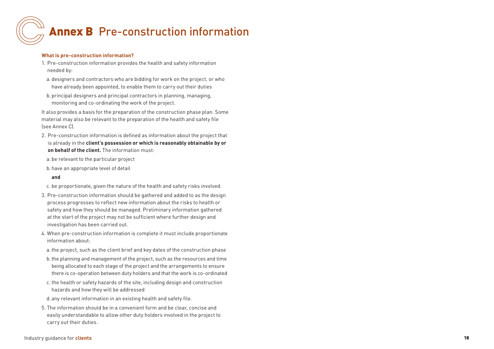# **Annex B** Pre-construction information

#### **What is pre-construction information?**

- 1. Pre-construction information provides the health and safety information needed by:
- a. designers and contractors who are bidding for work on the project, or who have already been appointed, to enable them to carry out their duties
- b.principal designers and principal contractors in planning, managing, monitoring and co-ordinating the work of the project.

It also provides a basis for the preparation of the construction phase plan. Some material may also be relevant to the preparation of the health and safety file (see Annex C).

- 2. Pre-construction information is defined as information about the project that is already in the **client's possession or which is reasonably obtainable by or on behalf of the client.** The information must:
- a. be relevant to the particular project
- b.have an appropriate level of detail

#### **and**

- c. be proportionate, given the nature of the health and safety risks involved.
- 3. Pre-construction information should be gathered and added to as the design process progresses to reflect new information about the risks to health or safety and how they should be managed. Preliminary information gathered at the start of the project may not be sufficient where further design and investigation has been carried out.
- 4. When pre-construction information is complete it must include proportionate information about:
- a.the project, such as the client brief and key dates of the construction phase
- b.the planning and management of the project, such as the resources and time being allocated to each stage of the project and the arrangements to ensure there is co-operation between duty holders and that the work is co-ordinated
- c. the health or safety hazards of the site, including design and construction hazards and how they will be addressed
- d. any relevant information in an existing health and safety file.
- 5. The information should be in a convenient form and be clear, concise and easily understandable to allow other duty holders involved in the project to carry out their duties.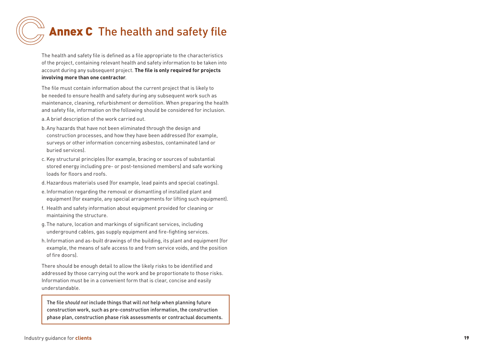## Annex C The health and safety file

The health and safety file is defined as a file appropriate to the characteristics of the project, containing relevant health and safety information to be taken into account during any subsequent project. **The file is only required for projects involving more than one contractor** .

The file must contain information about the current project that is likely to be needed to ensure health and safety during any subsequent work such as maintenance, cleaning, refurbishment or demolition. When preparing the health and safety file, information on the following should be considered for inclusion. a.A brief description of the work carried out.

- b.Any hazards that have not been eliminated through the design and construction processes, and how they have been addressed (for example, surveys or other information concerning asbestos, contaminated land or buried services).
- c. Key structural principles (for example, bracing or sources of substantial stored energy including pre- or post-tensioned members) and safe working loads for floors and roofs.
- d.Hazardous materials used (for example, lead paints and special coatings).
- e. Information regarding the removal or dismantling of installed plant and equipment (for example, any special arrangements for lifting such equipment).
- f. Health and safety information about equipment provided for cleaning or maintaining the structure.
- g.The nature, location and markings of significant services, including underground cables, gas supply equipment and fire-fighting services.
- h.Information and as-built drawings of the building, its plant and equipment (for example, the means of safe access to and from service voids, and the position of fire doors).

There should be enough detail to allow the likely risks to be identified and addressed by those carrying out the work and be proportionate to those risks. Information must be in a convenient form that is clear, concise and easily understandable.

The file *should not* include things that will *not* help when planning future construction work, such as pre-construction information, the construction phase plan, construction phase risk assessments or contractual documents.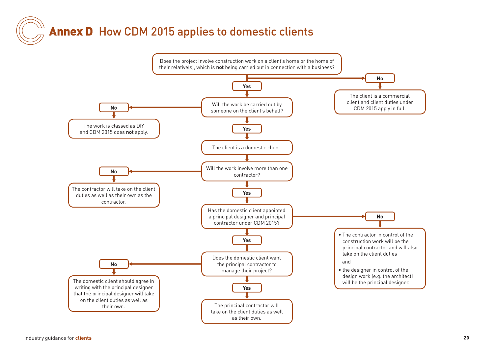## Annex D How CDM 2015 applies to domestic clients

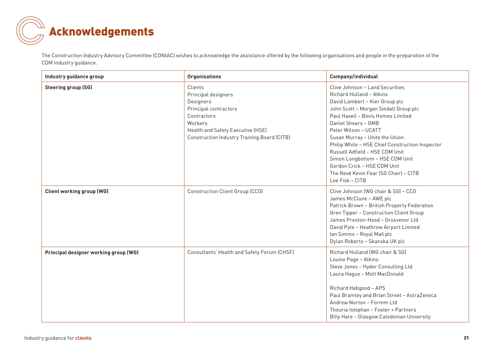

The Construction Industry Advisory Committee (CONIAC) wishes to acknowledge the assistance offered by the following organisations and people in the preparation of the CDM industry guidance.

| Industry guidance group               | <b>Organisations</b>                                                                                                                                                               | Company/individual                                                                                                                                                                                                                                                                                                                                                                                                                                                              |
|---------------------------------------|------------------------------------------------------------------------------------------------------------------------------------------------------------------------------------|---------------------------------------------------------------------------------------------------------------------------------------------------------------------------------------------------------------------------------------------------------------------------------------------------------------------------------------------------------------------------------------------------------------------------------------------------------------------------------|
| <b>Steering group (SG)</b>            | Clients<br>Principal designers<br>Designers<br>Principal contractors<br>Contractors<br>Workers<br>Health and Safety Executive (HSE)<br>Construction Industry Training Board (CITB) | Clive Johnson - Land Securities<br>Richard Hulland - Atkins<br>David Lambert - Kier Group plc<br>John Scott - Morgan Sindall Group plc<br>Paul Haxell - Bovis Homes Limited<br>Daniel Shears - GMB<br>Peter Wilson - UCATT<br>Susan Murray - Unite the Union<br>Philip White - HSE Chief Construction Inspector<br>Russell Adfield - HSE CDM Unit<br>Simon Longbottom - HSE CDM Unit<br>Gordon Crick - HSE CDM Unit<br>The Revd Kevin Fear (SG Chair) - CITB<br>Lee Fisk - CITB |
| <b>Client working group (WG)</b>      | <b>Construction Client Group (CCG)</b>                                                                                                                                             | Clive Johnson (WG chair & SG) - CCG<br>James McClune - AWE plc<br>Patrick Brown - British Property Federation<br>Gren Tipper - Construction Client Group<br>James Preston-Hood - Grosvenor Ltd<br>David Pyle - Heathrow Airport Limited<br>Ian Simms - Royal Mail plc<br>Dylan Roberts - Skanska UK plc                                                                                                                                                                         |
| Principal designer working group (WG) | Consultants' Health and Safety Forum (CHSF)                                                                                                                                        | Richard Hulland (WG chair & SG)<br>Louise Page - Atkins<br>Steve Jones - Hyder Consulting Ltd<br>Laura Hague - Mott MacDonald<br>Richard Habgood - APS<br>Paul Bramley and Brian Street - AstraZeneca<br>Andrew Norton - Formm Ltd<br>Thouria Istephan - Foster + Partners<br>Billy Hare - Glasgow Caledonian University                                                                                                                                                        |